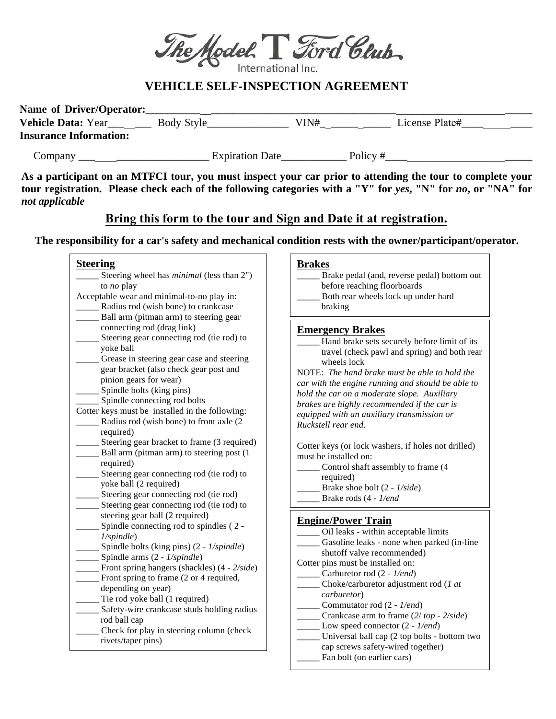

## **VEHICLE SELF-INSPECTION AGREEMENT**

| Name of Driver/Operator:      |                        |      |                |
|-------------------------------|------------------------|------|----------------|
| <b>Vehicle Data: Year</b>     | Body Style             | VIN# | License Plate# |
| <b>Insurance Information:</b> |                        |      |                |
| Company                       | <b>Expiration Date</b> |      | Policy#        |

**As a participant on an MTFCI tour, you must inspect your car prior to attending the tour to complete your**  tour registration. Please check each of the following categories with a "Y" for *yes*, "N" for *no*, or "NA" for *not applicable*

# **Bring this form to the tour and Sign and Date it at registration.**

**The responsibility for a car's safety and mechanical condition rests with the owner/participant/operator.** 

#### **Steering**  \_\_\_\_\_ Steering wheel has *minimal* (less than 2") to *no* play Acceptable wear and minimal-to-no play in: Radius rod (wish bone) to crankcase Ball arm (pitman arm) to steering gear connecting rod (drag link) Steering gear connecting rod (tie rod) to yoke ball Grease in steering gear case and steering gear bracket (also check gear post and pinion gears for wear) Spindle bolts (king pins) Spindle connecting rod bolts Cotter keys must be installed in the following: Radius rod (wish bone) to front axle (2) required) Steering gear bracket to frame (3 required) Ball arm (pitman arm) to steering post (1) required) Steering gear connecting rod (tie rod) to yoke ball (2 required) Steering gear connecting rod (tie rod) Steering gear connecting rod (tie rod) to steering gear ball (2 required) Spindle connecting rod to spindles (2 -*1/spindle*) \_\_\_\_\_ Spindle bolts (king pins) (2 - *1/spindle*) \_\_\_\_\_ Spindle arms (2 - *1/spindle*) Front spring hangers (shackles) (4 - 2/side) \_\_\_\_\_ Front spring to frame (2 or 4 required, depending on year) Tie rod yoke ball (1 required) Safety-wire crankcase studs holding radius rod ball cap Check for play in steering column (check rivets/taper pins) **Brakes**  Brake pedal (and, reverse pedal) bottom out before reaching floorboards Both rear wheels lock up under hard braking **Emergency Brakes**  Hand brake sets securely before limit of its travel (check pawl and spring) and both rear wheels lock NOTE: *The hand brake must be able to hold the car with the engine running and should be able to hold the car on a moderate slope. Auxiliary brakes are highly recommended if the car is equipped with an auxiliary transmission or Ruckstell rear end.* Cotter keys (or lock washers, if holes not drilled) must be installed on: Control shaft assembly to frame (4) required) \_\_\_\_\_ Brake shoe bolt (2 - *1/side*) \_\_\_\_\_ Brake rods (4 - *1/end* ) **Engine/Power Train**  \_\_\_\_\_ Oil leaks - within acceptable limits Gasoline leaks - none when parked (in-line shutoff valve recommended) Cotter pins must be installed on: \_\_\_\_\_ Carburetor rod (2 - *1/end*) \_\_\_\_\_ Choke/carburetor adjustment rod (*1 at carburetor*) \_\_\_\_\_ Commutator rod (2 - *1/end*) \_\_\_\_\_ Crankcase arm to frame (*2*/ *top* - *2/side*) Low speed connector  $(2 - 1/end)$ Universal ball cap (2 top bolts - bottom two cap screws safety-wired together) Fan bolt (on earlier cars)